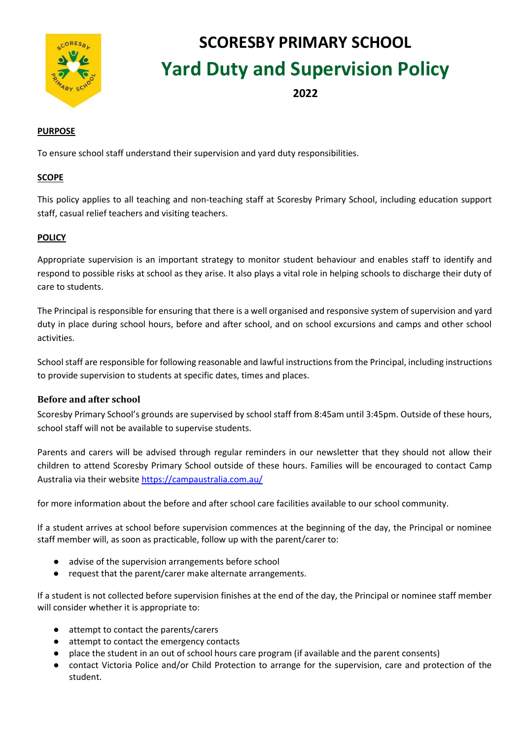

# **SCORESBY PRIMARY SCHOOL Yard Duty and Supervision Policy 2022**

## **PURPOSE**

To ensure school staff understand their supervision and yard duty responsibilities.

#### **SCOPE**

This policy applies to all teaching and non-teaching staff at Scoresby Primary School, including education support staff, casual relief teachers and visiting teachers.

## **POLICY**

Appropriate supervision is an important strategy to monitor student behaviour and enables staff to identify and respond to possible risks at school as they arise. It also plays a vital role in helping schools to discharge their duty of care to students.

The Principal is responsible for ensuring that there is a well organised and responsive system of supervision and yard duty in place during school hours, before and after school, and on school excursions and camps and other school activities.

School staff are responsible for following reasonable and lawful instructions from the Principal, including instructions to provide supervision to students at specific dates, times and places.

#### **Before and after school**

Scoresby Primary School's grounds are supervised by school staff from 8:45am until 3:45pm. Outside of these hours, school staff will not be available to supervise students.

Parents and carers will be advised through regular reminders in our newsletter that they should not allow their children to attend Scoresby Primary School outside of these hours. Families will be encouraged to contact Camp Australia via their website<https://campaustralia.com.au/>

for more information about the before and after school care facilities available to our school community.

If a student arrives at school before supervision commences at the beginning of the day, the Principal or nominee staff member will, as soon as practicable, follow up with the parent/carer to:

- advise of the supervision arrangements before school
- request that the parent/carer make alternate arrangements.

If a student is not collected before supervision finishes at the end of the day, the Principal or nominee staff member will consider whether it is appropriate to:

- attempt to contact the parents/carers
- attempt to contact the emergency contacts
- place the student in an out of school hours care program (if available and the parent consents)
- contact Victoria Police and/or Child Protection to arrange for the supervision, care and protection of the student.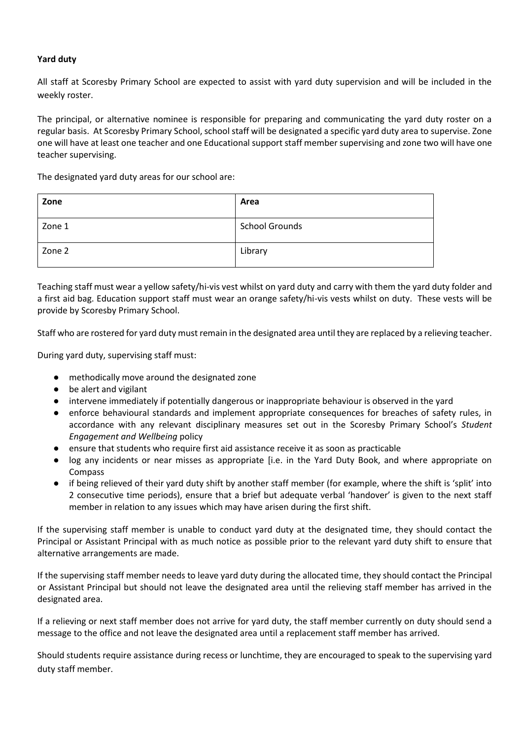## **Yard duty**

All staff at Scoresby Primary School are expected to assist with yard duty supervision and will be included in the weekly roster.

The principal, or alternative nominee is responsible for preparing and communicating the yard duty roster on a regular basis. At Scoresby Primary School, school staff will be designated a specific yard duty area to supervise. Zone one will have at least one teacher and one Educational support staff member supervising and zone two will have one teacher supervising.

The designated yard duty areas for our school are:

| Zone   | Area           |
|--------|----------------|
| Zone 1 | School Grounds |
| Zone 2 | Library        |

Teaching staff must wear a yellow safety/hi-vis vest whilst on yard duty and carry with them the yard duty folder and a first aid bag. Education support staff must wear an orange safety/hi-vis vests whilst on duty. These vests will be provide by Scoresby Primary School.

Staff who are rostered for yard duty must remain in the designated area until they are replaced by a relieving teacher.

During yard duty, supervising staff must:

- methodically move around the designated zone
- be alert and vigilant
- intervene immediately if potentially dangerous or inappropriate behaviour is observed in the yard
- enforce behavioural standards and implement appropriate consequences for breaches of safety rules, in accordance with any relevant disciplinary measures set out in the Scoresby Primary School's *Student Engagement and Wellbeing* policy
- ensure that students who require first aid assistance receive it as soon as practicable
- log any incidents or near misses as appropriate [i.e. in the Yard Duty Book, and where appropriate on Compass
- if being relieved of their yard duty shift by another staff member (for example, where the shift is 'split' into 2 consecutive time periods), ensure that a brief but adequate verbal 'handover' is given to the next staff member in relation to any issues which may have arisen during the first shift.

If the supervising staff member is unable to conduct yard duty at the designated time, they should contact the Principal or Assistant Principal with as much notice as possible prior to the relevant yard duty shift to ensure that alternative arrangements are made.

If the supervising staff member needs to leave yard duty during the allocated time, they should contact the Principal or Assistant Principal but should not leave the designated area until the relieving staff member has arrived in the designated area.

If a relieving or next staff member does not arrive for yard duty, the staff member currently on duty should send a message to the office and not leave the designated area until a replacement staff member has arrived.

Should students require assistance during recess or lunchtime, they are encouraged to speak to the supervising yard duty staff member.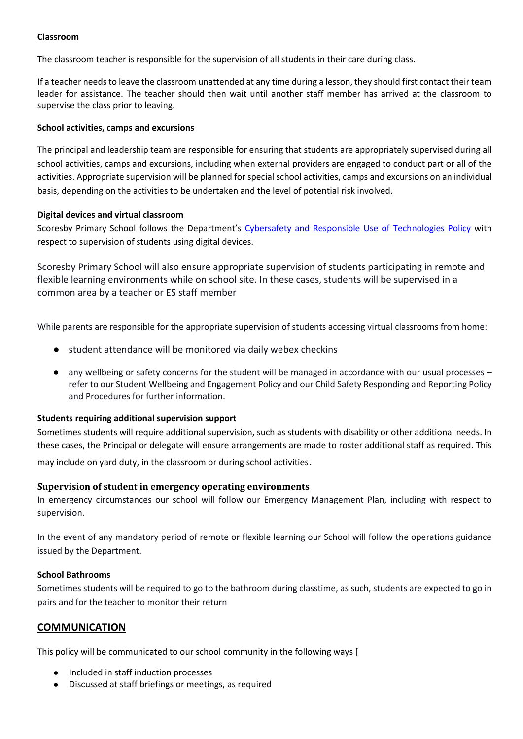## **Classroom**

The classroom teacher is responsible for the supervision of all students in their care during class.

If a teacher needs to leave the classroom unattended at any time during a lesson, they should first contact their team leader for assistance. The teacher should then wait until another staff member has arrived at the classroom to supervise the class prior to leaving.

## **School activities, camps and excursions**

The principal and leadership team are responsible for ensuring that students are appropriately supervised during all school activities, camps and excursions, including when external providers are engaged to conduct part or all of the activities. Appropriate supervision will be planned for special school activities, camps and excursions on an individual basis, depending on the activities to be undertaken and the level of potential risk involved.

## **Digital devices and virtual classroom**

Scoresby Primary School follows the Department's [Cybersafety and Responsible Use of Technologies Policy](https://www2.education.vic.gov.au/pal/cybersafety/policy) with respect to supervision of students using digital devices.

Scoresby Primary School will also ensure appropriate supervision of students participating in remote and flexible learning environments while on school site. In these cases, students will be supervised in a common area by a teacher or ES staff member

While parents are responsible for the appropriate supervision of students accessing virtual classrooms from home:

- student attendance will be monitored via daily webex checkins
- any wellbeing or safety concerns for the student will be managed in accordance with our usual processes refer to our Student Wellbeing and Engagement Policy and our Child Safety Responding and Reporting Policy and Procedures for further information.

#### **Students requiring additional supervision support**

Sometimes students will require additional supervision, such as students with disability or other additional needs. In these cases, the Principal or delegate will ensure arrangements are made to roster additional staff as required. This may include on yard duty, in the classroom or during school activities.

# **Supervision of student in emergency operating environments**

In emergency circumstances our school will follow our Emergency Management Plan, including with respect to supervision.

In the event of any mandatory period of remote or flexible learning our School will follow the operations guidance issued by the Department.

#### **School Bathrooms**

Sometimes students will be required to go to the bathroom during classtime, as such, students are expected to go in pairs and for the teacher to monitor their return

# **COMMUNICATION**

This policy will be communicated to our school community in the following ways [

- Included in staff induction processes
- Discussed at staff briefings or meetings, as required